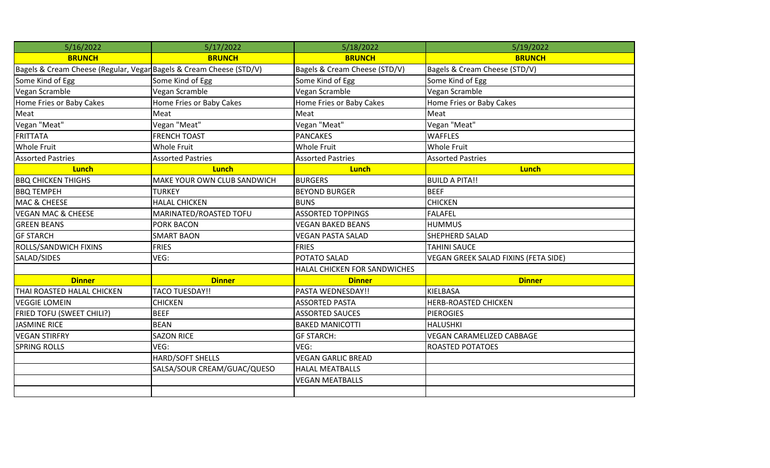| 5/16/2022                                                           | 5/17/2022                   | 5/18/2022                     | 5/19/2022                            |
|---------------------------------------------------------------------|-----------------------------|-------------------------------|--------------------------------------|
| <b>BRUNCH</b>                                                       | <b>BRUNCH</b>               | <b>BRUNCH</b>                 | <b>BRUNCH</b>                        |
| Bagels & Cream Cheese (Regular, Vegar Bagels & Cream Cheese (STD/V) |                             | Bagels & Cream Cheese (STD/V) | Bagels & Cream Cheese (STD/V)        |
| Some Kind of Egg                                                    | Some Kind of Egg            | Some Kind of Egg              | Some Kind of Egg                     |
| Vegan Scramble                                                      | Vegan Scramble              | Vegan Scramble                | Vegan Scramble                       |
| Home Fries or Baby Cakes                                            | Home Fries or Baby Cakes    | Home Fries or Baby Cakes      | Home Fries or Baby Cakes             |
| Meat                                                                | Meat                        | Meat                          | Meat                                 |
| Vegan "Meat"                                                        | Vegan "Meat"                | Vegan "Meat"                  | Vegan "Meat"                         |
| <b>FRITTATA</b>                                                     | <b>FRENCH TOAST</b>         | <b>PANCAKES</b>               | <b>WAFFLES</b>                       |
| <b>Whole Fruit</b>                                                  | <b>Whole Fruit</b>          | <b>Whole Fruit</b>            | <b>Whole Fruit</b>                   |
| <b>Assorted Pastries</b>                                            | <b>Assorted Pastries</b>    | <b>Assorted Pastries</b>      | <b>Assorted Pastries</b>             |
| <b>Lunch</b>                                                        | <b>Lunch</b>                | <b>Lunch</b>                  | <b>Lunch</b>                         |
| <b>BBQ CHICKEN THIGHS</b>                                           | MAKE YOUR OWN CLUB SANDWICH | <b>BURGERS</b>                | <b>BUILD A PITA!!</b>                |
| <b>BBQ TEMPEH</b>                                                   | <b>TURKEY</b>               | <b>BEYOND BURGER</b>          | <b>BEEF</b>                          |
| MAC & CHEESE                                                        | <b>HALAL CHICKEN</b>        | <b>BUNS</b>                   | <b>CHICKEN</b>                       |
| <b>VEGAN MAC &amp; CHEESE</b>                                       | MARINATED/ROASTED TOFU      | <b>ASSORTED TOPPINGS</b>      | <b>FALAFEL</b>                       |
| <b>GREEN BEANS</b>                                                  | PORK BACON                  | <b>VEGAN BAKED BEANS</b>      | <b>HUMMUS</b>                        |
| <b>GF STARCH</b>                                                    | <b>SMART BAON</b>           | <b>VEGAN PASTA SALAD</b>      | SHEPHERD SALAD                       |
| ROLLS/SANDWICH FIXINS                                               | <b>FRIES</b>                | <b>FRIES</b>                  | <b>TAHINI SAUCE</b>                  |
| SALAD/SIDES                                                         | VEG:                        | POTATO SALAD                  | VEGAN GREEK SALAD FIXINS (FETA SIDE) |
|                                                                     |                             | HALAL CHICKEN FOR SANDWICHES  |                                      |
| <b>Dinner</b>                                                       | <b>Dinner</b>               | <b>Dinner</b>                 | <b>Dinner</b>                        |
| THAI ROASTED HALAL CHICKEN                                          | <b>TACO TUESDAY!!</b>       | PASTA WEDNESDAY!!             | <b>KIELBASA</b>                      |
| <b>VEGGIE LOMEIN</b>                                                | <b>CHICKEN</b>              | <b>ASSORTED PASTA</b>         | <b>HERB-ROASTED CHICKEN</b>          |
| FRIED TOFU (SWEET CHILI?)                                           | <b>BEEF</b>                 | <b>ASSORTED SAUCES</b>        | <b>PIEROGIES</b>                     |
| <b>JASMINE RICE</b>                                                 | <b>BEAN</b>                 | <b>BAKED MANICOTTI</b>        | <b>HALUSHKI</b>                      |
| <b>VEGAN STIRFRY</b>                                                | <b>SAZON RICE</b>           | <b>GF STARCH:</b>             | <b>VEGAN CARAMELIZED CABBAGE</b>     |
| <b>SPRING ROLLS</b>                                                 | VEG:                        | VEG:                          | <b>ROASTED POTATOES</b>              |
|                                                                     | HARD/SOFT SHELLS            | <b>VEGAN GARLIC BREAD</b>     |                                      |
|                                                                     | SALSA/SOUR CREAM/GUAC/QUESO | <b>HALAL MEATBALLS</b>        |                                      |
|                                                                     |                             | <b>VEGAN MEATBALLS</b>        |                                      |
|                                                                     |                             |                               |                                      |